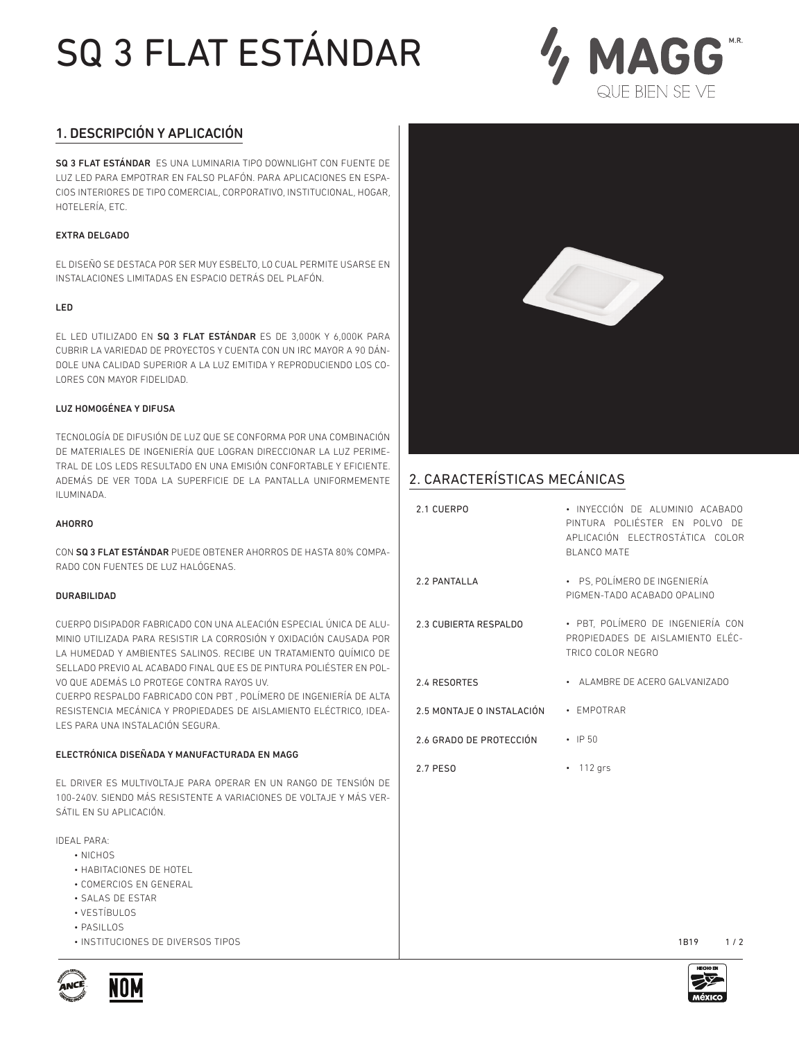# SQ 3 FLAT ESTÁNDAR



## 1. DESCRIPCIÓN Y APLICACIÓN

SQ 3 FLAT ESTÁNDAR ES UNA LUMINARIA TIPO DOWNLIGHT CON FUENTE DE LUZ LED PARA EMPOTRAR EN FALSO PLAFÓN. PARA APLICACIONES EN ESPA-CIOS INTERIORES DE TIPO COMERCIAL, CORPORATIVO, INSTITUCIONAL, HOGAR, HOTELERÍA, ETC.

### EXTRA DELGADO

EL DISEÑO SE DESTACA POR SER MUY ESBELTO, LO CUAL PERMITE USARSE EN INSTALACIONES LIMITADAS EN ESPACIO DETRÁS DEL PLAFÓN.

### LED

EL LED UTILIZADO EN SQ 3 FLAT ESTÁNDAR ES DE 3,000K Y 6,000K PARA CUBRIR LA VARIEDAD DE PROYECTOS Y CUENTA CON UN IRC MAYOR A 90 DÁN-DOLE UNA CALIDAD SUPERIOR A LA LUZ EMITIDA Y REPRODUCIENDO LOS CO-LORES CON MAYOR FIDELIDAD.

#### LUZ HOMOGÉNEA Y DIFUSA

TECNOLOGÍA DE DIFUSIÓN DE LUZ QUE SE CONFORMA POR UNA COMBINACIÓN DE MATERIALES DE INGENIERÍA QUE LOGRAN DIRECCIONAR LA LUZ PERIME-TRAL DE LOS LEDS RESULTADO EN UNA EMISIÓN CONFORTABLE Y EFICIENTE. ADEMÁS DE VER TODA LA SUPERFICIE DE LA PANTALLA UNIFORMEMENTE ILUMINADA.

#### AHORRO

CON SQ 3 FLAT ESTÁNDAR PUEDE OBTENER AHORROS DE HASTA 80% COMPA-RADO CON FUENTES DE LUZ HALÓGENAS.

#### DURABILIDAD

CUERPO DISIPADOR FABRICADO CON UNA ALEACIÓN ESPECIAL ÚNICA DE ALU-MINIO UTILIZADA PARA RESISTIR LA CORROSIÓN Y OXIDACIÓN CAUSADA POR LA HUMEDAD Y AMBIENTES SALINOS. RECIBE UN TRATAMIENTO QUÍMICO DE SELLADO PREVIO AL ACABADO FINAL QUE ES DE PINTURA POLIÉSTER EN POL-VO QUE ADEMÁS LO PROTEGE CONTRA RAYOS UV.

CUERPO RESPALDO FABRICADO CON PBT , POLÍMERO DE INGENIERÍA DE ALTA RESISTENCIA MECÁNICA Y PROPIEDADES DE AISLAMIENTO ELÉCTRICO, IDEA-LES PARA UNA INSTALACIÓN SEGURA.

## ELECTRÓNICA DISEÑADA Y MANUFACTURADA EN MAGG

EL DRIVER ES MULTIVOLTAJE PARA OPERAR EN UN RANGO DE TENSIÓN DE 100-240V. SIENDO MÁS RESISTENTE A VARIACIONES DE VOLTAJE Y MÁS VER-SÁTIL EN SU APLICACIÓN.

IDEAL PARA:

- NICHOS
- HABITACIONES DE HOTEL
- COMERCIOS EN GENERAL
- SALAS DE ESTAR
- VESTÍBULOS
- $-$  PASILLOS
- INSTITUCIONES DE DIVERSOS TIPOS



# 2. CARACTERÍSTICAS MECÁNICAS

| 2.1 CUERPO                 | · INYECCIÓN DE ALUMINIO ACABADO<br>PINTURA POLIÉSTER EN POLVO DE<br>APLICACIÓN FLECTROSTÁTICA COLOR<br><b>BI ANCO MATE</b> |
|----------------------------|----------------------------------------------------------------------------------------------------------------------------|
| 2.2 PANTALLA               | · PS, POLÍMERO DE INGENIERÍA<br>PIGMEN-TADO ACARADO OPALINO                                                                |
| 2.3 CUBIERTA RESPALDO      | • PBT, POLÍMERO DE INGENIERÍA CON<br>PROPIEDADES DE AISLAMIENTO ELÉC-<br>TRICO COLOR NEGRO                                 |
| 2.4 RESORTES               | • ALAMBRE DE ACERO GALVANIZADO                                                                                             |
| 2.5 MONTA JE O INSTALACIÓN | • FMPOTRAR                                                                                                                 |
| 2.6 GRADO DE PROTECCIÓN    | $\cdot$ IP 50                                                                                                              |
| 2.7 PFS0                   | $112$ grs                                                                                                                  |